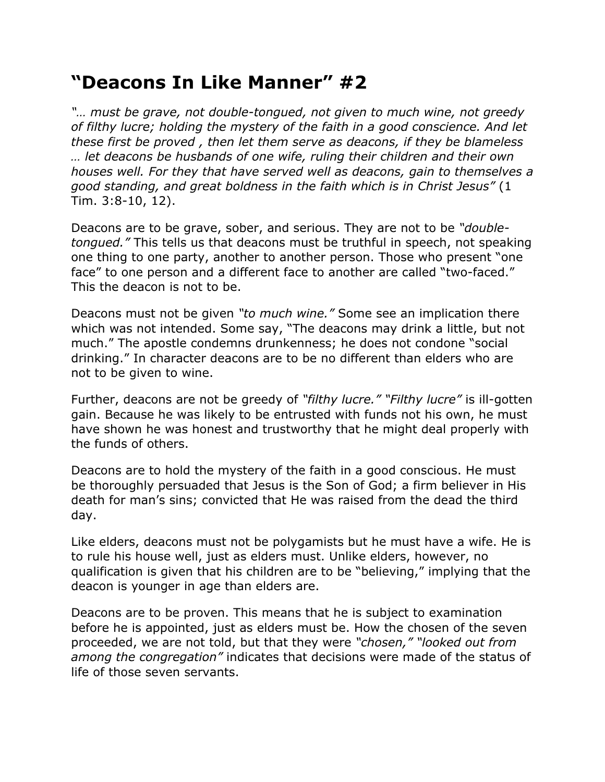## **"Deacons In Like Manner" #2**

*"… must be grave, not double-tongued, not given to much wine, not greedy of filthy lucre; holding the mystery of the faith in a good conscience. And let these first be proved , then let them serve as deacons, if they be blameless … let deacons be husbands of one wife, ruling their children and their own houses well. For they that have served well as deacons, gain to themselves a good standing, and great boldness in the faith which is in Christ Jesus"* (1 Tim. 3:8-10, 12).

Deacons are to be grave, sober, and serious. They are not to be *"doubletongued."* This tells us that deacons must be truthful in speech, not speaking one thing to one party, another to another person. Those who present "one face" to one person and a different face to another are called "two-faced." This the deacon is not to be.

Deacons must not be given *"to much wine."* Some see an implication there which was not intended. Some say, "The deacons may drink a little, but not much." The apostle condemns drunkenness; he does not condone "social drinking." In character deacons are to be no different than elders who are not to be given to wine.

Further, deacons are not be greedy of *"filthy lucre." "Filthy lucre"* is ill-gotten gain. Because he was likely to be entrusted with funds not his own, he must have shown he was honest and trustworthy that he might deal properly with the funds of others.

Deacons are to hold the mystery of the faith in a good conscious. He must be thoroughly persuaded that Jesus is the Son of God; a firm believer in His death for man's sins; convicted that He was raised from the dead the third day.

Like elders, deacons must not be polygamists but he must have a wife. He is to rule his house well, just as elders must. Unlike elders, however, no qualification is given that his children are to be "believing," implying that the deacon is younger in age than elders are.

Deacons are to be proven. This means that he is subject to examination before he is appointed, just as elders must be. How the chosen of the seven proceeded, we are not told, but that they were *"chosen," "looked out from among the congregation"* indicates that decisions were made of the status of life of those seven servants.